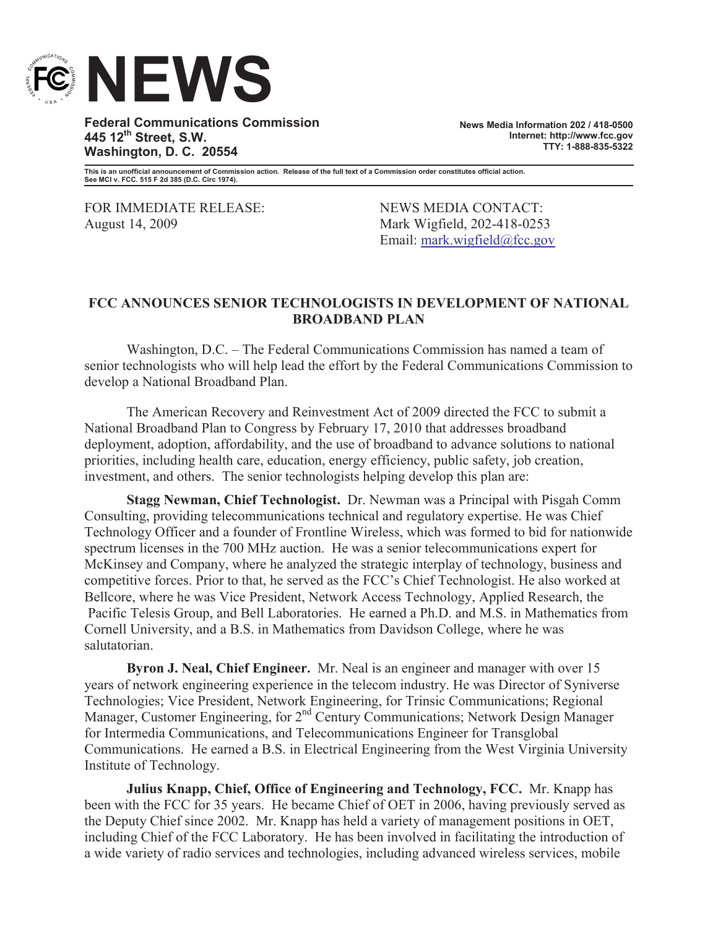

**Federal Communications Commission 445 12th Street, S.W. Washington, D. C. 20554**

**News Media Information 202 / 418-0500 Internet: http://www.fcc.gov TTY: 1-888-835-5322**

**This is an unofficial announcement of Commission action. Release of the full text of a Commission order constitutes official action. See MCI v. FCC. 515 F 2d 385 (D.C. Circ 1974).**

FOR IMMEDIATE RELEASE: NEWS MEDIA CONTACT: August 14, 2009 Mark Wigfield, 202-418-0253

Email: mark.wigfield@fcc.gov

## **FCC ANNOUNCES SENIOR TECHNOLOGISTS IN DEVELOPMENT OF NATIONAL BROADBAND PLAN**

Washington, D.C. – The Federal Communications Commission has named a team of senior technologists who will help lead the effort by the Federal Communications Commission to develop a National Broadband Plan.

The American Recovery and Reinvestment Act of 2009 directed the FCC to submit a National Broadband Plan to Congress by February 17, 2010 that addresses broadband deployment, adoption, affordability, and the use of broadband to advance solutions to national priorities, including health care, education, energy efficiency, public safety, job creation, investment, and others. The senior technologists helping develop this plan are:

**Stagg Newman, Chief Technologist.** Dr. Newman was a Principal with Pisgah Comm Consulting, providing telecommunications technical and regulatory expertise. He was Chief Technology Officer and a founder of Frontline Wireless, which was formed to bid for nationwide spectrum licenses in the 700 MHz auction. He was a senior telecommunications expert for McKinsey and Company, where he analyzed the strategic interplay of technology, business and competitive forces. Prior to that, he served as the FCC's Chief Technologist. He also worked at Bellcore, where he was Vice President, Network Access Technology, Applied Research, the Pacific Telesis Group, and Bell Laboratories. He earned a Ph.D. and M.S. in Mathematics from Cornell University, and a B.S. in Mathematics from Davidson College, where he was salutatorian.

**Byron J. Neal, Chief Engineer.** Mr. Neal is an engineer and manager with over 15 years of network engineering experience in the telecom industry. He was Director of Syniverse Technologies; Vice President, Network Engineering, for Trinsic Communications; Regional Manager, Customer Engineering, for 2<sup>nd</sup> Century Communications; Network Design Manager for Intermedia Communications, and Telecommunications Engineer for Transglobal Communications. He earned a B.S. in Electrical Engineering from the West Virginia University Institute of Technology.

**Julius Knapp, Chief, Office of Engineering and Technology, FCC.** Mr. Knapp has been with the FCC for 35 years. He became Chief of OET in 2006, having previously served as the Deputy Chief since 2002. Mr. Knapp has held a variety of management positions in OET, including Chief of the FCC Laboratory. He has been involved in facilitating the introduction of a wide variety of radio services and technologies, including advanced wireless services, mobile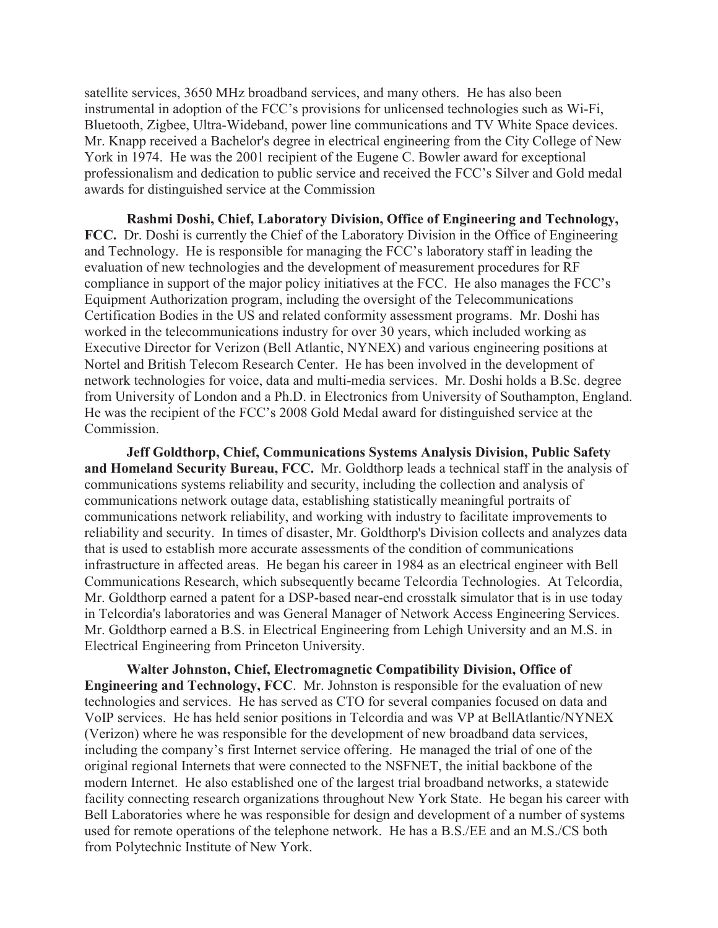satellite services, 3650 MHz broadband services, and many others. He has also been instrumental in adoption of the FCC's provisions for unlicensed technologies such as Wi-Fi, Bluetooth, Zigbee, Ultra-Wideband, power line communications and TV White Space devices. Mr. Knapp received a Bachelor's degree in electrical engineering from the City College of New York in 1974. He was the 2001 recipient of the Eugene C. Bowler award for exceptional professionalism and dedication to public service and received the FCC's Silver and Gold medal awards for distinguished service at the Commission

**Rashmi Doshi, Chief, Laboratory Division, Office of Engineering and Technology, FCC.** Dr. Doshi is currently the Chief of the Laboratory Division in the Office of Engineering and Technology. He is responsible for managing the FCC's laboratory staff in leading the evaluation of new technologies and the development of measurement procedures for RF compliance in support of the major policy initiatives at the FCC. He also manages the FCC's Equipment Authorization program, including the oversight of the Telecommunications Certification Bodies in the US and related conformity assessment programs. Mr. Doshi has worked in the telecommunications industry for over 30 years, which included working as Executive Director for Verizon (Bell Atlantic, NYNEX) and various engineering positions at Nortel and British Telecom Research Center. He has been involved in the development of network technologies for voice, data and multi-media services. Mr. Doshi holds a B.Sc. degree from University of London and a Ph.D. in Electronics from University of Southampton, England. He was the recipient of the FCC's 2008 Gold Medal award for distinguished service at the Commission.

**Jeff Goldthorp, Chief, Communications Systems Analysis Division, Public Safety and Homeland Security Bureau, FCC.** Mr. Goldthorp leads a technical staff in the analysis of communications systems reliability and security, including the collection and analysis of communications network outage data, establishing statistically meaningful portraits of communications network reliability, and working with industry to facilitate improvements to reliability and security. In times of disaster, Mr. Goldthorp's Division collects and analyzes data that is used to establish more accurate assessments of the condition of communications infrastructure in affected areas. He began his career in 1984 as an electrical engineer with Bell Communications Research, which subsequently became Telcordia Technologies. At Telcordia, Mr. Goldthorp earned a patent for a DSP-based near-end crosstalk simulator that is in use today in Telcordia's laboratories and was General Manager of Network Access Engineering Services. Mr. Goldthorp earned a B.S. in Electrical Engineering from Lehigh University and an M.S. in Electrical Engineering from Princeton University.

**Walter Johnston, Chief, Electromagnetic Compatibility Division, Office of Engineering and Technology, FCC**. Mr. Johnston is responsible for the evaluation of new technologies and services. He has served as CTO for several companies focused on data and VoIP services. He has held senior positions in Telcordia and was VP at BellAtlantic/NYNEX (Verizon) where he was responsible for the development of new broadband data services, including the company's first Internet service offering. He managed the trial of one of the original regional Internets that were connected to the NSFNET, the initial backbone of the modern Internet. He also established one of the largest trial broadband networks, a statewide facility connecting research organizations throughout New York State. He began his career with Bell Laboratories where he was responsible for design and development of a number of systems used for remote operations of the telephone network. He has a B.S./EE and an M.S./CS both from Polytechnic Institute of New York.